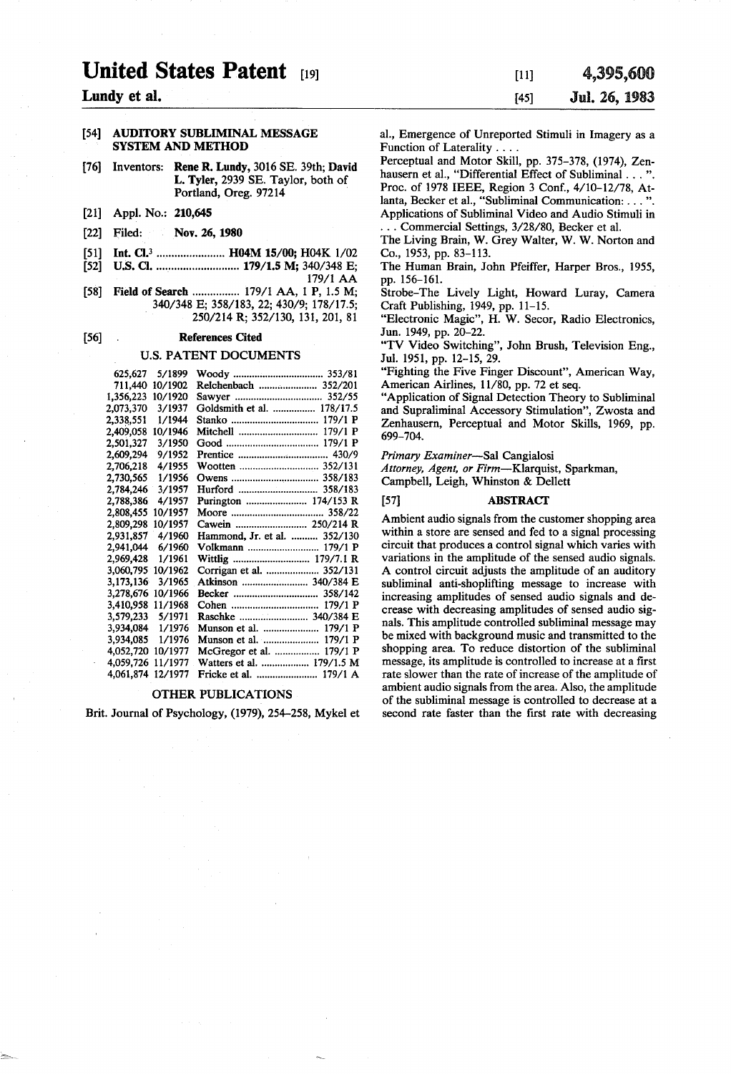## United States Patent (19)

Lundy et al.

## [54] AUDITORY SUBLIMINAL MESSAGE SYSTEM AND METHOD

- [76] Inventors: Rene R. Lundy, 3016 SE. 39th; David L. Tyler, 2939 SE. Taylor, both of Portland, Oreg. 97214
- [21] Appl. No.: 210,645
- 22 Filed: Nov. 26, 1980
- [51] Int. Cl.<sup>3</sup> ....................... H04M 15/00; H04K 1/02
- 52 U.S. C. ............................ 179/1.5M; 340/348 E;
- 179/1 AA [58] Field of Search ................ 179/1 AA, 1 P, 1.5 M; 340/348 E; 358/183, 22; 430/9; 178/17.5; 250/214 R; 352/130, 131, 201, 81

## 56) . References Cited

#### U.S. PATENT DOCUMENTS

| 625,627   | 5/1899  |                              |
|-----------|---------|------------------------------|
| 711.440   | 10/1902 | Relchenbach  352/201         |
| 1,356,223 | 10/1920 |                              |
| 2.073.370 | 3/1937  | Goldsmith et al.  178/17.5   |
| 2,338,551 | 1/1944  | Stanko  179/1 P              |
| 2.409.058 | 10/1946 | Mitchell  179/1 P            |
| 2,501,327 | 3/1950  |                              |
| 2,609,294 | 9/1952  |                              |
| 2,706,218 | 4/1955  |                              |
| 2,730,565 | 1/1956  |                              |
| 2.784.246 | 3/1957  |                              |
| 2,788,386 | 4/1957  | Purington  174/153 R         |
| 2,808,455 | 10/1957 |                              |
| 2,809,298 | 10/1957 |                              |
| 2.931.857 | 4/1960  | Hammond, Jr. et al.  352/130 |
| 2,941,044 | 6/1960  | Volkmann  179/1 P            |
| 2,969,428 | 1/1961  |                              |
| 3.060.795 | 10/1962 | Corrigan et al.  352/131     |
| 3,173,136 | 3/1965  | Atkinson  340/384 E          |
| 3,278,676 | 10/1966 |                              |
| 3,410,958 | 11/1968 |                              |
| 3,579,233 | 5/1971  | Raschke  340/384 E           |
| 3,934,084 | 1/1976  |                              |
| 3,934,085 | 1/1976  |                              |
| 4,052,720 | 10/1977 | McGregor et al.  179/1 P     |
| 4.059.726 | 11/1977 | Watters et al.  179/1.5 M    |
| 4.061.874 | 12/1977 | Fricke et al.  179/1 A       |

## OTHER PUBLICATIONS

Brit. Journal of Psychology, (1979), 254-258, Mykel et

is

al., Emergence of Unreported Stimuli in Imagery as a

Perceptual and Motor Skill, pp. 375–378, (1974), Zenhausern et al., "Differential Effect of Subliminal . . . ". Proc. of 1978 IEEE, Region 3 Conf., 4/10-12/78, At lanta, Becker et al., "Subliminal Communication: . . . '. Applications of Subliminal Video and Audio Stimuli in . . . Commercial Settings, 3/28/80, Becker et al.

The Living Brain, W. Grey Walter, W. W. Norton and Co., 1953, pp. 83-113.

The Human Brain, John Pfeiffer, Harper Bros., 1955, pp. 156-161.

Strobe-The Lively Light, Howard Luray, Camera Craft Publishing, 1949, pp. 11-15.

"Electronic Magic', H. W. Secor, Radio Electronics, Jun. 1949, pp. 20-22.

"TV Video Switching", John Brush, Television Eng., Jul. 1951, pp. 12–15, 29.<br>"Fighting the Five Finger Discount", American Way,

American Airlines, 11/80, pp. 72 et seq.<br>"Application of Signal Detection Theory to Subliminal

and Supraliminal Accessory Stimulation', Zwosta and Zenhausern, Perceptual and Motor Skills, 1969, pp. 699-704.

Primary Examiner-Sal Cangialosi

Attorney, Agent, or Firm-Klarquist, Sparkman, Campbell, Leigh, Whinston & Dellett

## [57] **ABSTRACT**

Ambient audio signals from the customer shopping area within a store are sensed and fed to a signal processing circuit that produces a control signal which varies with variations in the amplitude of the sensed audio signals.<br>A control circuit adjusts the amplitude of an auditory subliminal anti-shoplifting message to increase with increasing amplitudes of sensed audio signals and de crease with decreasing amplitudes of sensed audio sig nals. This amplitude controlled subliminal message may be mixed with background music and transmitted to the shopping area. To reduce distortion of the subliminal message, its amplitude is controlled to increase at a first rate slower than the rate of increase of the amplitude of ambient audio signals from the area. Also, the amplitude of the subliminal message is controlled to decrease at a second rate faster than the first rate with decreasing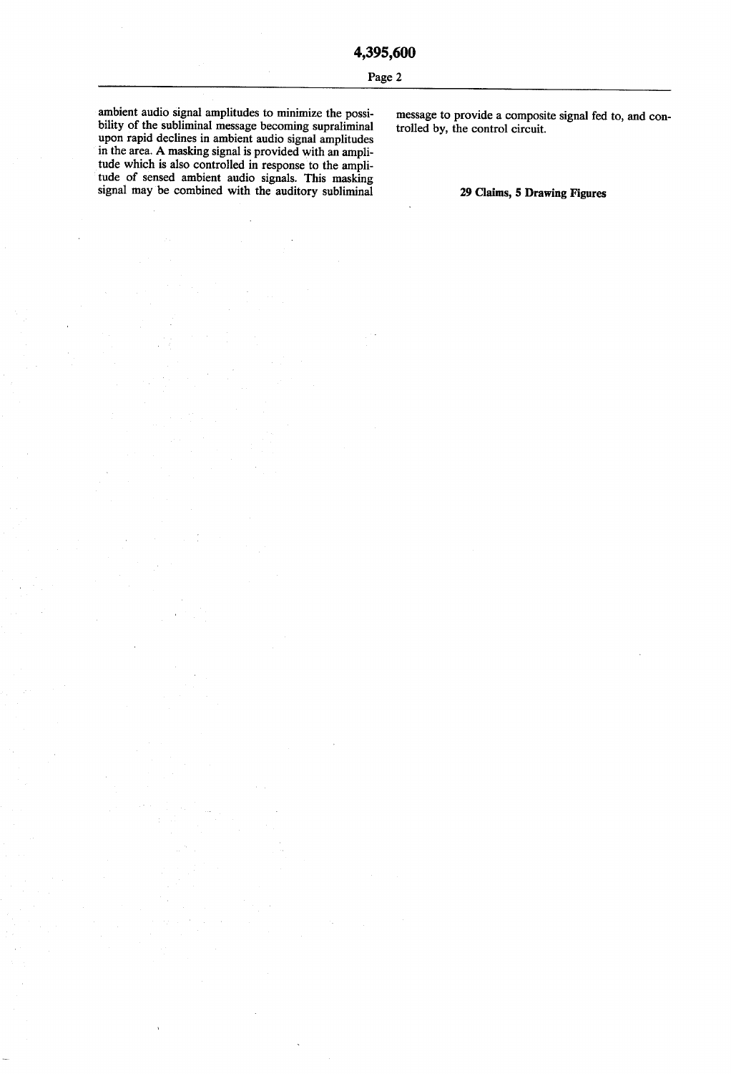ambient audio signal amplitudes to minimize the possibility of the subliminal message becoming supraliminal<br>upon rapid declines in ambient audio signal amplitudes in the area. A masking signal is provided with an amplitude which is also controlled in response to the amplitude of sensed ambient audio signals. This masking signal may be combined with the auditory subliminal

message to provide a composite signal fed to, and controlled by, the control circuit.

29 Claims, 5 Drawing Figures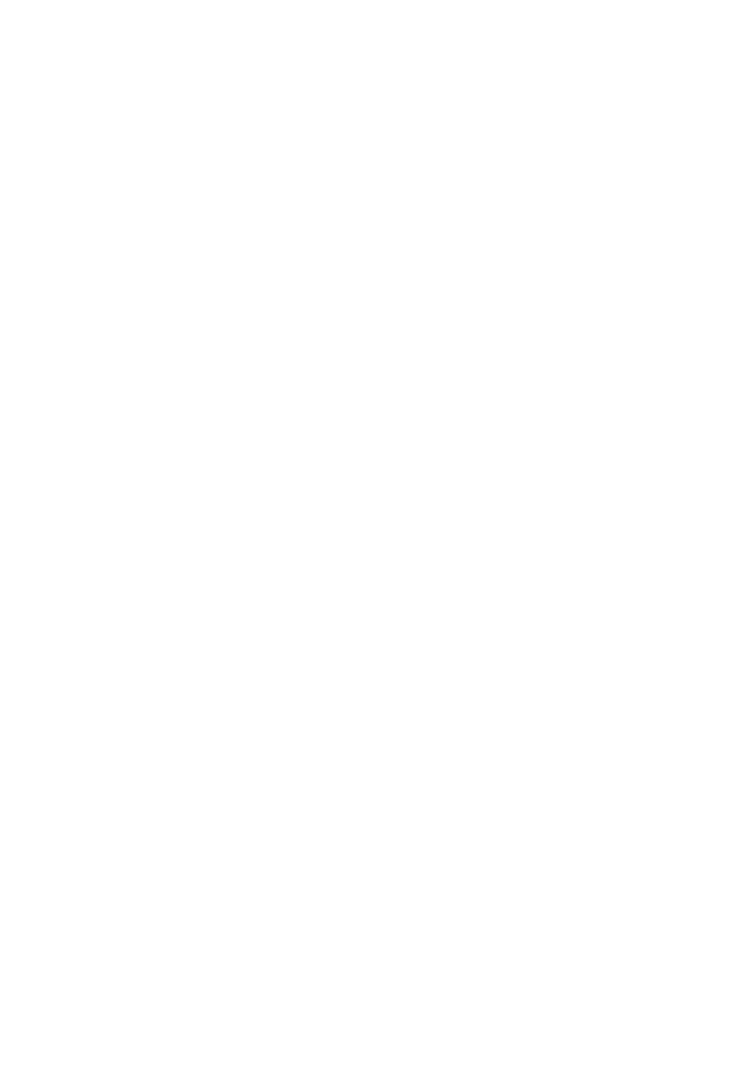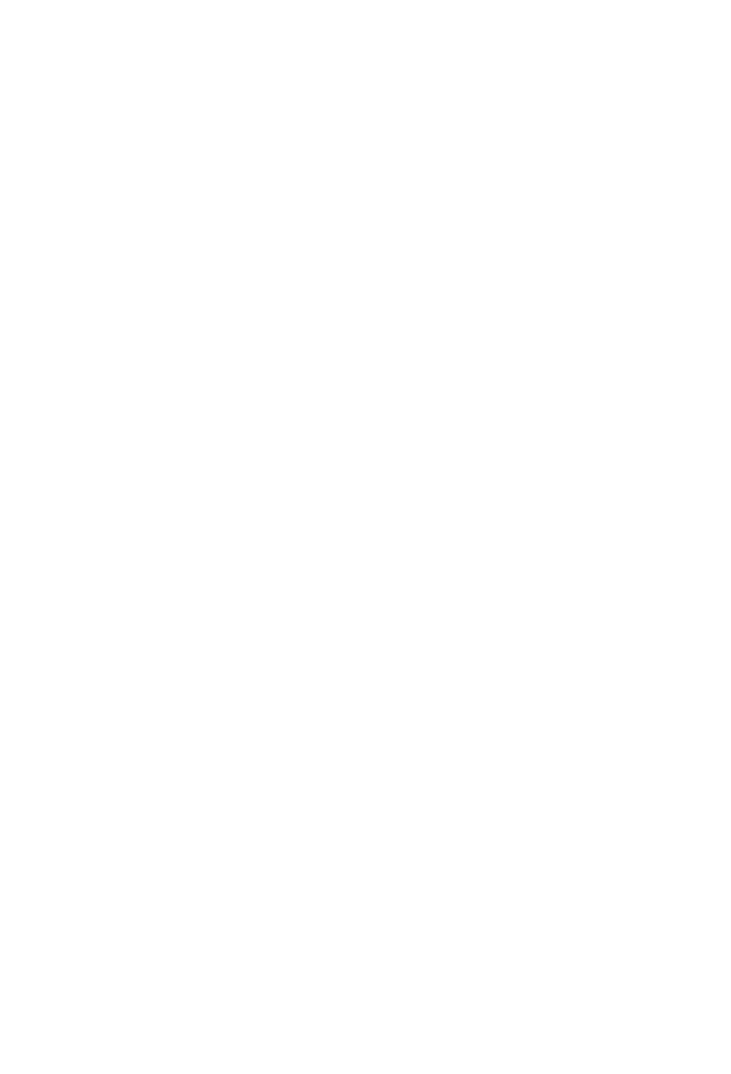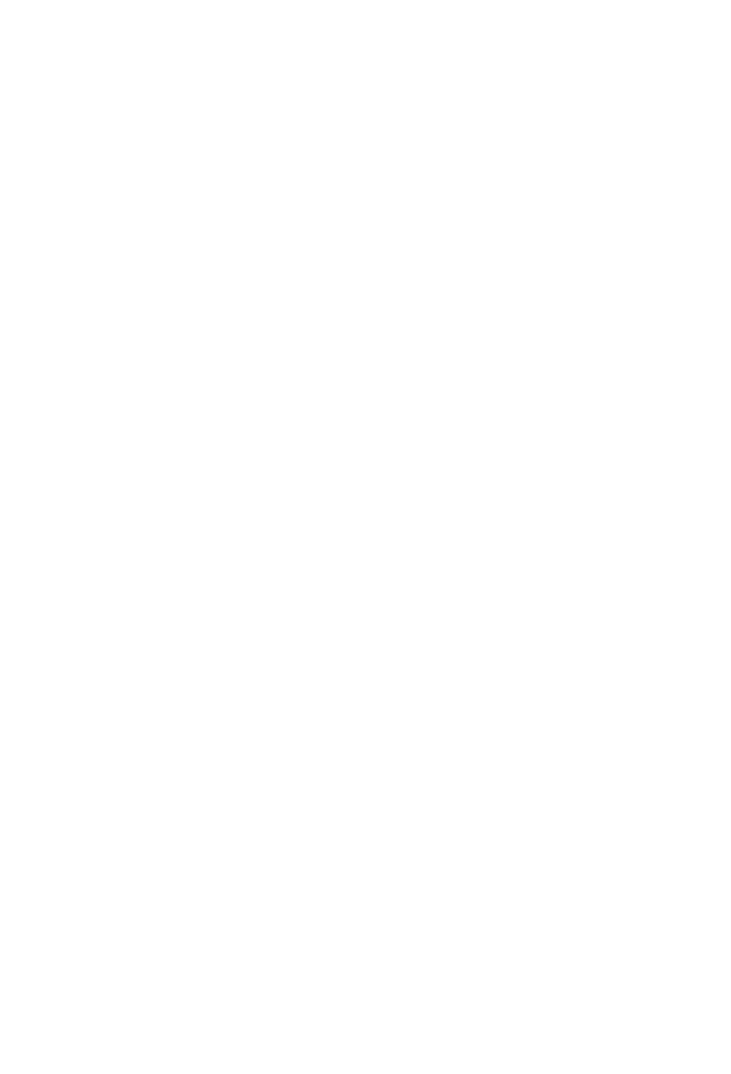5

## AUDITORY SUBLIMINAL MESSAGE SYSTEM **AND METHOD**

## **BACKGROUND OF THE INVENTION**

The present invention relates to a system and method for providing subliminal auditory signals to an area such as a customer shopping area within a store. More particularly, the invention relates to such a system and method in which the amplitude of the subliminal signal is adjusted in response to the amplitude of ambient audio signals from the customer shopping area.

It has been established that auditory subliminal signals, that is, those presented below the conscious recognition level of the listener, can be used to influence the <sup>15</sup> listener's behavior to some degree. Some early research into visual and auditory subliminal stimulation effects are exemplified in U.S. Pat. Nos. 3,060,795 of Corrigan, et al. and 3,278,676 of Becker.

In addition, Becker is understood to have experi- 20 mented with the use of auditory subliminal messages to deter shoplifting by retail store customers. Although applicants have not seen or studied Mr. Becker's device, it is believed to combine an auditory subliminal message with background music. However, during non-peak 25 shopping and other times when the store area is exceptionally quiet, the background music signal component in Becker must be much louder than the subliminal signal as otherwise the subliminal signal would be at a level such that it may be consciously recognized by a 30 listener. In addition, as a result of this large difference between the amplitude of the background music and that of the subliminal message signal, the effectiveness of the Becker subliminal message is reduced. Also, Becker is understood to maintain his combined back- 35 ground music and subliminal message at a level sufficiently high enough to enable the music to be heard even under noisy store conditions. However, when the ambient audio signal level drops, such as during nonpeak store traffic times, the combined background 40 faster rate with decreasing ambient audio signal levels. music and subliminal signal would remain the same and seem overly loud. Thus, Becker is simply not understood to control the amplitude of a subliminal message in response to ambient audio signals from an area.

Accordingly, there is a need for an auditory sublimi- 45 nal message system and method which solves these and other problems.

#### SUMMARY OF THE INVENTION

The present invention is a method and system for 50 adjusting the amplitude of an auditory subliminal message in response to the amplitude of ambient audio signals from an area to which the subliminal message is to be transmitted. In accordance with one aspect of the invention, an audio signal processing circuit means re- 55 ceives signals representing the amplitude of audio signals in the area, such as a retail shopping area of a store. This processing circuit means produces a control signal for an amplitude adjustment or control circuit means which adjusts the amplitude or volume of an auditory subliminal signal which is to be transmitted to the area. The amplitude of the auditory subliminal signal is adjusted to increase with increasing sensed ambient audio signals and decrease with decreasing sensed ambient audio signals. 65

As a more specific aspect of the invention, a masking signal is generated and fed to the area. This masking signal has frequency and amplitude characteristics

which cover or render the subliminal signal inperceptible to the conscious recognition level of a listener. In the preferred embodiment, the amplitude of this masking signal is also controlled in response to the sensed ambient audio signals so that its amplitude follows the amplitude of the adjusted subliminal message signal. The masking signal may be combined with the subliminal signal to provide a composite signal having an am-10 plitude controlled by the control circuit in response to the control signal.

As a more specific feature of the invention, to reduce distortion of the subliminal message signal, the processing circuit means produces a control signal which causes the control circuit means to increase the amplitude of the auditory subliminal message signal slowly at a rate slower than the rate of change of the ambient audio signals at times when the ambient audio signals are increasing in magnitude. In addition, at times when the ambient audio signals are decreasing to minimize the possibility of conscious perception of the subliminal message signal, the processing circuit means produces a control signal which causes the control circuit means to decrease the amplitude of the subliminal signal at a fast rate.

It is accordingly one object of the invention to provide an improved auditory subliminal message system and method.

Another object of the invention is to provide an auditory subliminal message having an amplitude which is adjusted in response to ambient noise levels within an area to which the auditory subliminal message is to be transmitted.

A further object of the invention is to provide a method and system which adjusts the amplitude of an auditory subliminal message at one rate with increasing ambient audio signal levels in the area and at another.

A still further object of the invention is to provide such a method and system in which the amplitude of an auditory subliminal signal is adjusted to rise at a rate slower than the rate of increases in ambient audio signal levels.

Another object of the invention is to provide an auditory subliminal message which is continuously maintained below the conscious perception level.

A further object of the invention is to provide an auditory subliminal message which is maintained below the conscious perception level of listeners in an area and which is adjusted in response to ambient audio signals in the area so as to remain close to the level of conscious perception.

Still another object of the invention is to provide an auditory masking signal for an auditory subliminal message, the masking signal having an amplitude which is adjusted in response to ambient noise levels in an area to which the auditory subliminal message is to be transmitted.

A more specific object of the invention is to provide an auditory subliminal message anti-shoplifting system and method.

These and other objects, features and advantages of the invention will become apparent with reference to the following drawings and description.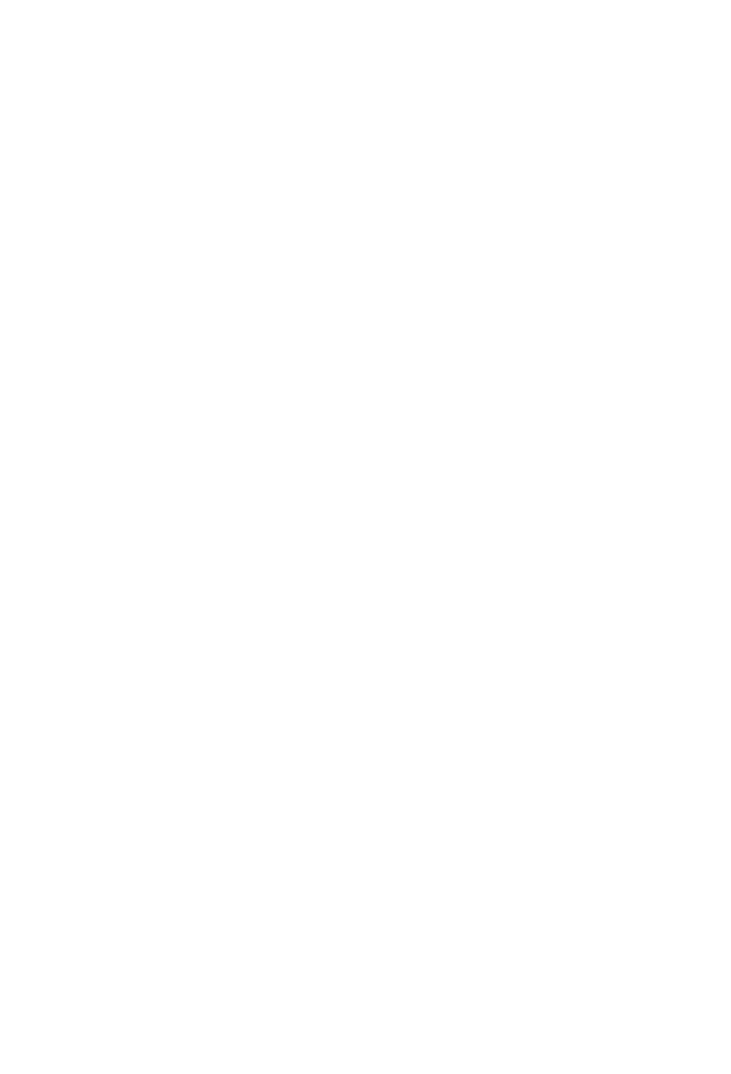$20$ 

## BRIEF DESCRIPTION OF THE DRAWING

## In the drawing

FIG. 1 is a block diagram of an auditory subliminal message system in accordance with the present invention;

FIG. 2 is a block diagram illustrating one embodiment of an auditory subliminal message signal and masking signal source;

FIG. 3 is a block diagram showing another embodi- 10 ment of an auditory subliminal message signal and masking signal source:

FIG. 4 is a block diagram showing an alternate ambient audio signal processing circuit; and

FIG. 5 is a detailed circuit schematic diagram of the 15 ambient audio signal processing circuit and other portions of the circuit of FIG. 1.

#### **DETAILED DESCRIPTION**

## General Description of Preferred Embodiment

It has now been discovered that in an environment with constantly changing ambient audio levels, such as in the shopping area of a store, it is desirable to adjust the amplitude of an auditory subliminal message signal<br>to follow the amplitude of the ambient audio signals. 25 That is, by increasing the amplitude of the auditory subliminal message with increasing ambient audio levels and decreasing the amplitude of the subliminal signal with decreasing ambient audio levels, the subconscious perception of the subliminal message by listeners is 30 improved. This in turn increases the effectiveness of the subliminal message.

Therefore, with reference to FIG. 1, the system includes circuit means for controlling the amplitude of an auditory subliminal message signal in response to the <sup>35</sup> level of ambient sounds in an area 26, such as the customer shopping area within a store, to which the subliminal message signal is to be transmitted. Such circuit means includes an ambient audio signal processing circuit 10 and a control circuit 12. Control circuit 12 is 40 adapted to receive an auditory subliminal message signal input at 14 and processing circuit 10 has at least one input 16 for receiving signals representing the amplitude or volume of ambient audio signals within the area. Processing circuit 10 and control circuit 12 adjust the 45 amplitude of the auditory subliminal message signal received at input 14, in response to the amplitude of ambient audio signals received at input 16, to produce an auditory subliminal message signal output at 18 having an amplitude which varies with variations in the 50 level of ambient audio signals in the area.

The output signal at  $\overline{18}$  is fed to an output circuit which, in the illustrated form, includes an output mixer circuit 20 having an input coupled to output 18, a preamplifier and amplifier circuit 22 with an input 21 cou- 55 pled to the output of mixer circuit 20, and a speaker 24 for transmitting the amplitude adjusted auditory subliminal message signal to area 26. The circuit also may include an optional background auditory signal source 28 which produces music or other background auditory 60 signals which are fed to an input 29 of the output mixer circuit 20. These background signals are combined within mixer circuit 20 with the amplitude controlled subliminal message signal and the combined signal is transmitted by speaker 24 to room 26.

The preferred embodiment of the system also includes at least one audio sensor means, such as microphone 30 positioned within the area 26. Microphone 30 detects ambient audio signals within the area and produces an electrical output signal representing these detected signals. The microphone output is fed to input 16 of ambient audio signal processing circuit 10.

Processing circuit 10 includes an audio channel 32 associated with microphone 30 for modifying the input 16 to produce an audio channel output signal at 34 which varies with variations in the ambient audio signal input at 16, as explained below. Preferably, plural microphones 30, 30a, 30b, 30c, 30d, etc. are provided for detecting ambient audio signals in various parts of the area 26. For convenience, these microphones may be positioned in the ceiling of the shopping area. A respective audio channel 32a, 32b, 32c and 32d is associated with each of the microphones 30a, 30b, 30c and 30d and produces output signals 34a, 34b, 34c and 34d in the same manner as the audio channel 32. The output signals 34 are averaged by an averaging circuit 36 to produce an output control signal at 38 which varies with variations in the amplitude of ambient audio signals sensed by the microphones throughout the store area 26.

In the embodiment of FIG. 1, each audio channel 32 includes a preamplifier circuit 40 for amplifying the input signal 16, a rectifier circuit 42 for rectifying the amplified input signal and a signal shaping circuit 44 for modifying the rectified ambient audio signal input from microphone 30, as explained below.

In connection with this signal shaping circuit, it has now been discovered that rapid changes of an amplitude of an auditory subliminal signal can distort it to such an extent that it becomes unrecognizable to subconscious perception. Hence, to reduce such distortion and increase the subconscious perceptibility of the subliminal signal, the signal shaping circuit adjusts the control signal to cause the amplitude of the auditory subliminal message signal at a rate which is slower than the rate of increase of ambient audio signals at times when the amplitude of such ambient signals is increasing. However, with sudden drops in the level of ambient audio signals, a slow drop in the amplitude of the subliminal message could lead to conscious perception of this message. This can be extremely disadvantageous in situations wherein it is desired to keep the existence of the subliminal message a secret. Therefore, the signal shaping circuit adjusts the control signal to cause the volume of the auditory subliminal message to drop at a faster rate upon a decrease in the volume of ambient audio signals.

Hence, with this form of signal shaping circuit 44, the control signal output at 38 of the averaging circuit 36 varies at one rate with increasing ambient audio signals and at another faster rate with decreasing ambient audio signals. Furthermore, control circuit 12 is responsive to this varying control signal to produce an amplitude adjusted auditory subliminal message output at 18 which increases at a first rate with increases in ambient audio signals and decreases at a second rate, faster than the first rate, with decreases in ambient audio signals. In addition, to prevent distortion of the subliminal message, the first rate is slower than the rate of increase of the ambient audio signals.

It has also now been discovered that time lags are 65 introduced into an auditory subliminal system. Such time lags are primarily due to the amount of time required by ambient audio signals is travel to microphones and the time required by an amplitude controlled sub-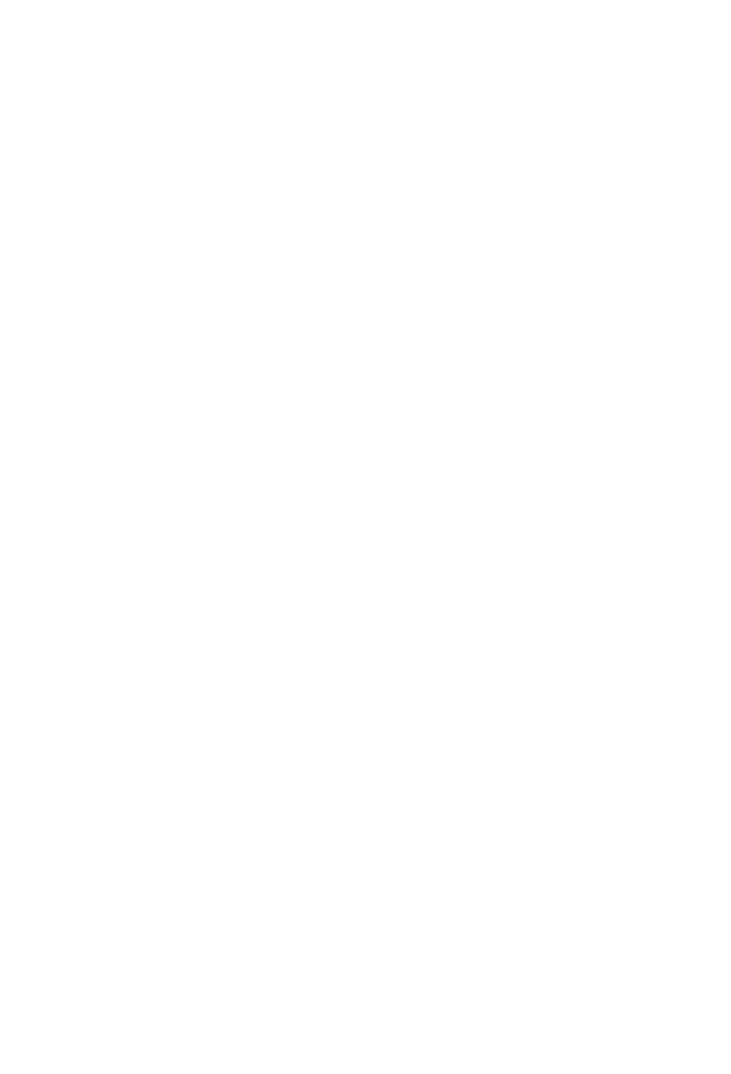liminal message to travel from speakers to a listener. Thus, no matter how quickly the system reduces the amplitude of the auditory subliminal message in response to declining ambient sound levels, a reduction in the amplitude of the subliminal message would lag the 5 reduction in volume of ambient sound. Thus, a rapid drop in ambient sound level could momentarily leave the subliminal message signal at a level sufficiently high to be perceived by a listener. In certain applications this would prove extremely disadvantageous. 10

For example, if an anti-shoplifting subliminal system is used to deter shoplifting in a store, customers may be extremely reluctant to patronize the store if they consciously perceive a normally anti-shoplifting message and hence realize that such a system is in use. Thus, 15 although a store may realize savings due to a reduction in shoplifting, its overall profits may suffer because of customer reluctance to patronize a store wherein such a system is in use. Hence, in such applications it is desirable to maintain the subliminal signal continuously 20 below the conscious perception range of listeners. On the other hand, in other applications such as in connection with a weight loss class in which the listeners realize that an auditory subliminal weight loss message is being transmitted, it is not as critical to continuously 25 maintain the subliminal message below conscious perception levels.

To solve this problem, the preferred embodiment of the system includes means for producing a masking signal which screens the auditory subliminal message 30 and blocks its conscious perception, particularly during times when the volume of ambient noise drops quickly. Thus, as illustrated in FIG. 1, the system includes a subliminal message and masking signal source means 48 which produces the auditory subliminal message signal 35 fed to input 14 of control circuit 12. In addition, source 48 includes means for providing a masking signal with amplitude and frequency characteristics which block conscious perception of the auditory subliminal message. The masking signal may bypass control circuit 12 40 and be fed directly to room 26. However, it is preferable that the amplitude of the masking signal also be controlled in response to the amplitude of ambient audio signals. Otherwise, when the room becomes very quiet, the masking signal could be so loud that it is readily 45 perceived and annoying. Also, if the masking signal amplitude remained constant while the subliminal signal amplitude dropped in response to drops in ambient sound levels, the amplitude of the masking signal would become so large relative to that of the subliminal mes- 50 sage, that subconscious perception of the subliminal message is impaired.

Although a separate control circuit may be provided for controlling the amplitude of the masking signals, preferably the masking signal is combined with the 55 auditory subliminal message signal and the resulting composite signal is fed to input 14 of control circuit 12. As illustrated in FIG. 1, control circuit 12 may include a voltage control amplifier circuit 39 for adjusting the output 18 in response to the control signal input 38. 60

As shown in FIG. 2, subliminal message and masking signal source 48 may comprise a means such as a tape recorder for playing back a recording of a composite auditory subliminal message and masking signal. In an alternate form illustrated in FIG. 3, the subliminal mes- 65 sage and masking signal source 48 may comprise a voice synthesizer circuit 50 which produces an auditory subliminal component of the composite subliminal and

masking signals. One suitable voice synthesizer circuit 50 comprises a commercially available "Digitalker" kit produced by National Semiconductor Company. This kit includes a sixteen kilobite, eight bit memory chip No. MM52116 and a speech processor chip designated SPC. In addition, a masking signal circuit 52 is provided for producing the masking signal. This circuit may take various forms and comprise a white noise signal generator circuit such as a random noise oscillator with an internal shift register. One suitable generator is available from Radio Shack and designated random events generator chip No. S2688/MM5837. The masking signal circuit and voice synthesizer circuit outputs are fed to a commercially available mixer amplifier circuit 54, in which they are combined. The mixer circuit output comprises the composite auditory signal which is fed to input 14 of the control circuit 12.

As previously mentioned, the masking signal has frequency and amplitude components which make the auditory subliminal message signal incapable of conscious recognition by a listener. More specifically, the masking signal has frequency components which overlay the frequency components of the auditory subliminal message signal. In addition, the amplitude of the masking signal is slightly higher than the amplitude of the auditory subliminal message signal. More specifically, it has now been discovered that preferred results are obtained when the amplitude of the masking signal is continuously maintained approximately within the range of 3 db to 15 db above the amplitude of the subliminal message signal. Furthermore, that the best results occur when the masking signal is approximately 5 db above the amplitude of the auditory subliminal message signal. That is, with such relative amplitudes of the masking signal to the auditory subliminal message signal, a temporary screen is provided for the subliminal message at times, such as during rapid declines in ambient noise levels, when the subliminal message may otherwise become supraliminal. Also, with such relative amplitudes, the masking signal provides a satisfactory screen for the subliminal message without impairing satisfactory subconscious perception of the auditory subliminal message. It should be noted that with such relative amplitudes of the masking signal and subliminal message signal, the masking signal typically may not block conscious perception of the subliminal signal in a situation where the composite subliminal message and masking signal are at a high amplitude in relation to the volume of ambient audio signals. However, such conditions are prevented by controlling the amplitude of the composite signal in response to ambient audio signals, as explained above.

FIG. 4 illustrates an alternate ambient audio signal processing circuit. Components of this circuit which are similar to those of the FIG. 1 form of processing circuit have numbers incremented by two hundred over the corresponding numbers in FIG. 1. Hence, these components will not be described in detail. Unlike the FIG. 1 form of processing circuit, the audio channels of the FIG. 4 embodiment do not include the signal shaping circuit. Instead, the output of the respective rectifier circuits are averaged by an averaging circuit 236 prior to signal shaping by a signal shaping circuit 244 in the manner explained above.

## DETAILED CIRCUIT DESCRIPTION

With reference to FIG. 5, a four-channel audio signal processing circuit is illustrated. Since each of the illus-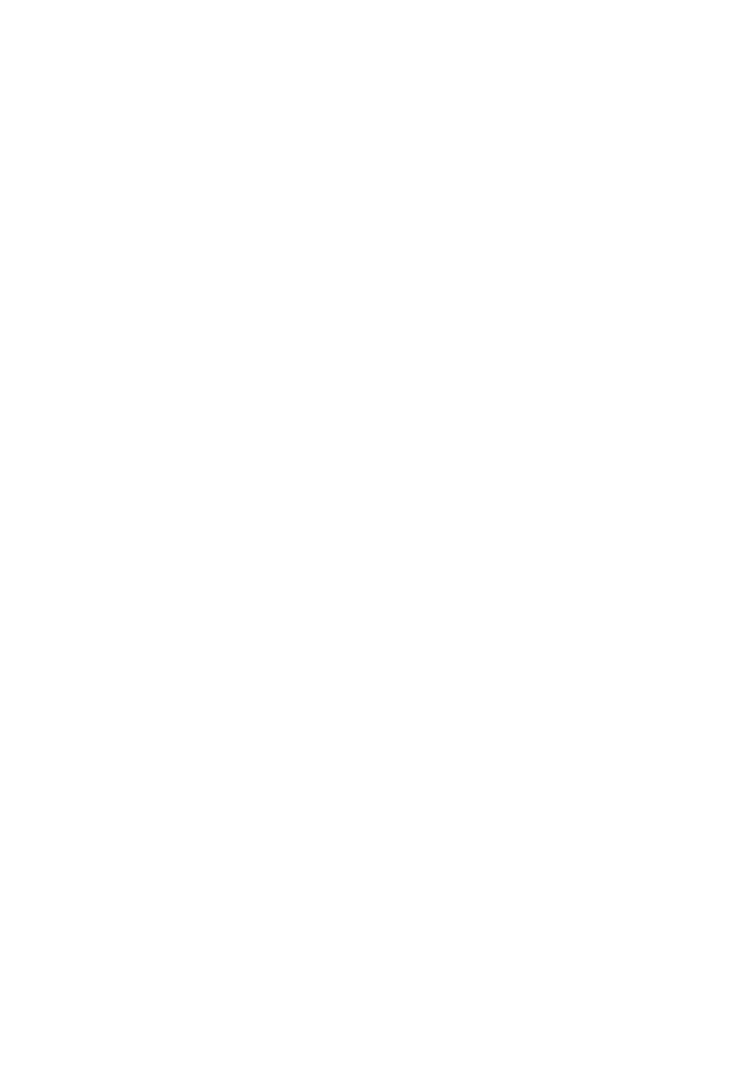trated channels is identical, only the upper channel will be described in detail.

## The audio channel includes series connected preamplifier circuit 40, rectifier circuit 42, and signal shaping circuit 44. The input 16 to the channel is obtained from 5 the microphone 30 (FIG. 1) and thus fluctuates in response to changes in ambient audio signals detected by the microphone. Input 16 and hence the microphone output is fed to preamplifier circuit 40. More specifically, this input is coupled by a 0.1 microfarad capacitor 10 58 through a one kilohm gain establishing resistor 60 to the inverting input of an operational amplifier 62. The output of amplifier 62 is connected through a one megohm feedback resistor 64 to its inverting input. The gain of amplifier 62 is established by the ratio of resistors 64 15 and 60 and, with these particular resistors is set at approximately one thousand. Also, a positive biasing voltage V is fed through a two megohm biasing resistor 66 to the noninverting input of amplifier 62. With the circuit components utilized in the FIG. 5 circuit, the posi- 20 tive biasing voltage is six volts and a negative biasing voltage is at negative six volts. One suitable amplifier 62 comprises one amplifier section of an LM3900 quad Norton operational amplifier. When connected as described above, amplifier 62 inverts and amplifies the 25 input signal at 16.

To convert the input at 16 to a direct current signal, 0.1 microfarad capacitor 68 couples the output of amplifier 62 to the inverting input of an amplifier 70 connected as an amplifying, inverting, precision rectifier. 30 Rectifier circuit 42 produces an output signal comprising a positive half-cycle inverted and amplified version of the input signal. More specifically, the output of amplifier 70 is connected to the anode of a diode 74 having its cathode connected through a one megohm 35 feedback resistor 76 to the inverting input of amplifier 70. Thus, the positive half-cycles of the output signal from amplifier 70 are coupled through diode 74 and resistor 76 to the inverting input of amplifier 70. In contrast, the negative half-cycle output signals from 40 amplifier 70 are blocked by diode 74. However, because the output of amplifier 70 is connected to the cathode of a diode 72 having its anode coupled to the inverting input of amplifier 70, these negative going half cycles are coupled through diode 72 to the inverting input of 45 amplifier 70. The output of rectifier 42 is taken at the cathode of diode 74 and comprises a positive representation of the input signal 16 and hence of the amplitude of ambient audio signals detected by microphone 30. A suitable amplifier for accomplishing this rectification 50 desired. comprises one amplifier section of a type 324 quad operational amplifier.

The rectified output signal from rectifier circuit 42 is fed to signal shaping circuit 44. That is, the output of the rectifier circuit is fed to a resistor-capacitor network. 55 This network comprises a ten kilohm resistor 78 coupled between the output of rectifier 42 and the noninverting input of an operational amplifier 80, a one microfarad capacitor 88 which couples the noninverting input of amplifier 80 to ground, and a one hundred 60 kilohm resistor 86 in parallel with capacitor 88. This network has a charging time constant of approximately 0.01 seconds and discharging time constant of approximately 0.1 seconds. Amplifier 80 may comprise one amplifier section of a type 324 quad operational ampli- 65 fier and has its output coupled directly through a feedback loop to its noninverting input so that the amplifier acts as a voltage follower. The output of amplifier 80

drives another resistor-capacitor network including a five hundred kilohm resistor 82 and a ten microfarad capacitor 90. The time constant of this latter resistorcapacitor is approximately five seconds. Also, a diode 84, having a turn-on voltage of approximately 0.7 volts. has its anode connected to the contact between resistor 82 and capacitor 90 and its cathode connected to the noninverting input of amplifier 80. The positive side of capacitor 90 is coupled through a one hundred kilohm resistor 92 to the output 34 of the audio channel. This output 34 is then fed to averaging circuit 36 as explained helow.

For reasons explained above, signal shaping circuit 44 operates in the following manner to produce an output on line 34 which increases at one rate with increasing sensed ambient audio signals and which decreases at a rate faster than said one rate with decreases in the sensed audio signals. Furthermore, because of the delays within the signal shaping circuit 44 resulting from charging time of the resistor-capacitor networks, the output signal on line 34 will increase at a slower rate than the rate of increase of ambient noise signals. This slows the rate of change of the audio subliminal signal and thereby minimizes rapid amplitude fluctuations therein and resulting distortions. That is, as the amplitude of ambient audio signals increases, the signal reaching capacitor 90 also increases. However, because of the relatively long charging time constant of the resistorcapacitor network including capacitor 90, capacitor 90 charges slowly. Hence, under those conditions the output on line 34 comprises a slowly rising DC signal. Furthermore, because the voltage at the anode of diode 84 is greater than or equal to the voltage at its cathode, diode 84 is nonconducting. In contrast, upon a sudden decrease in the amplitude of the sensed ambient audio signals, the input to operational amplifier 80 quickly decreases. As a result, the voltage at the cathode of diode 84 drops below the voltage at the anode of this diode sufficiently to cause the diode to conduct. While conducting, diode 84 establishes a short circuit between the positive side of capacitor 90, through resistor 86 and to ground so that capacitor 90 rapidly discharges. Therefore, the output signal at 34 drops rapidly and at a rate much faster than the rate at which the output 34 rose with increases of the amplitude of the ambient audio signals. Of course, by adjusting the time constants of the resistor-capacitor circuits within shaping circuit 44, the rate of change of the output 34 in response to changes in ambient audio signals can be adjusted as

The outputs of the audio channels are fed to averaging circuit 36. More specifically, resistor 92 and a similar resistor in each of the other audio channels couple the DC outputs from these channels to the inverting input of an operational amplifier 94 connected to average the signals received at its inverting input. Amplifier 94 may comprise a type 741 operational amplifier. The noninverting input of this amplifier is grounded and a twenty-five kilohm feedback resistor 96 couples the output of amplifier 94 to its inverting input. In addition, a ten kilohm current limiting resistor 98 couples the output of amplifier 94, which comprises the control signal 38, to control circuit 12. More specifically, with this particular circuit, control signal 38 comprises a varying direct current signal. Resistor 96 is set at onequarter the value of the input resistors 92 so that the gain of the averaging amplifier 94 is established at 0.25. In the event only one microphone is used to detect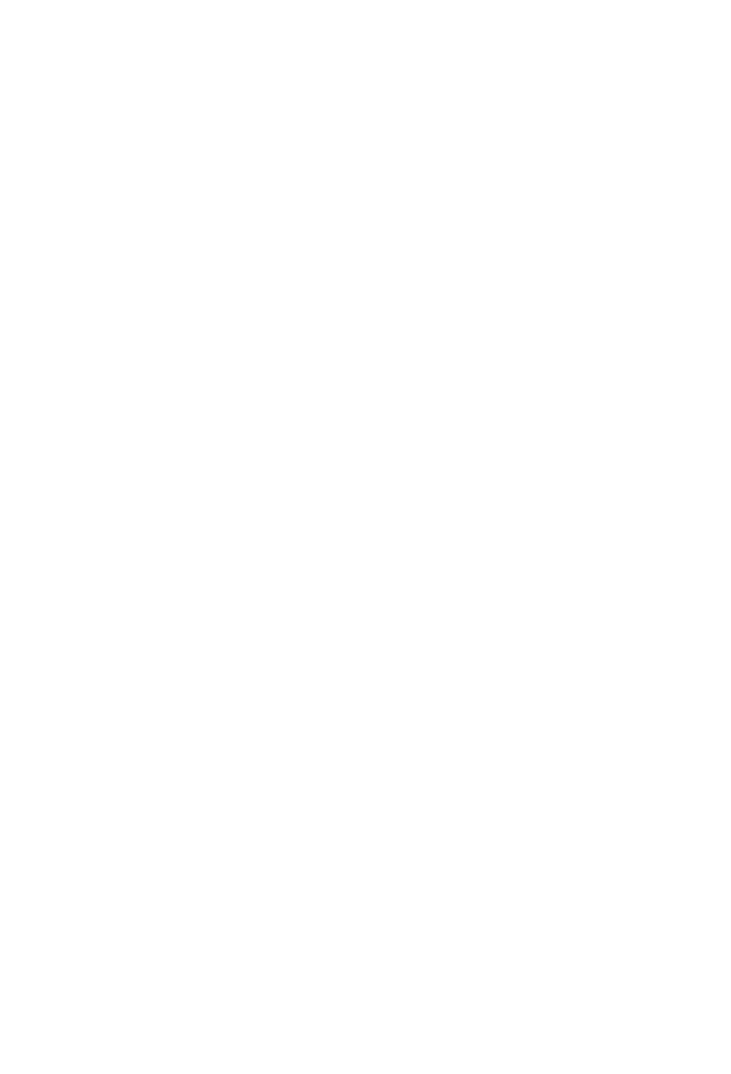ambient audio signals, then averaging, of course, is not performed.

Control circuit 12 controls the amplitude of the composite auditory subliminal message and masking signal received at its input 14 in response to the control signal 5 on line 38 and thereby in response to changes in ambient sound levels within room 26. More specifically, the control signal on line 38 is used as a gain control for an amplifier 102 of circuit 39. Amplifier 102 may comrise a type CA3080A operational transconductance amplifier 10 connected as a voltage controlled amplifier. The control signal on line 38 is fed to the control signal input <sup>I</sup>ABC of amplifier 102. Amplifier 102 is conducted in a conventional manner as a single supply operational amplifier. Also, the positive reference voltage is fed 15 through a voltage divider network including a fortyseven kilohm resistor 106 and forty-seven kilohm resistor 110 to ground. The three-volt signal available from this divider is supplied to the noninverting input of amplifier 102. A ten microfarad capacitor 108 couples 20 this latter input to ground to remove stray alternating current signals at this input. In addition, the composite subliminal auditory message signal and masking signal is fed to input 14 of voltage control amplifier circuit 39. That is, these signals are coupled through a ten micro-25 farad capacitor 104 to the inverting input of amplifier 102. The output of amplifier 102 is fed to one side of a ten kilohm potentiometer 112 having its other side coupled to ground through resistor 110. The output of circuit 39 is taken from potentiometer 112 and, as ex- 30 plained above, comprises a composite auditory subliminal message signal and masking signal having an amplitude adjusted in response to ambient audio signals within area 26. The wiper arm of potentiometer 112 also permits adjustment of the amplitude of the voltage con-35 trolled composite auditory subliminal signal and masking signal. Hence, this amplitude can be selectively adjusted to make the masking signal component more clearly consciously perceptible to provide an indication that the system is operational. 40

The gain controlled output signal of circuit 39 is connected through a one hundred kilohm resistor 114 to the inverting input of an operational amplifier 116 within output mixer circuit 20. Amplifier 116 may comprise a type 741 operational amplifier connected as an 45 inverting mixer. Any optional background audio signals, such as music, may be fed to input 29 of output mixer circuit 20. This input is coupled by a ten microfarad coupling capacitor 124 in series with a one hundred kilohm input resistor 122 to the inverting input of 50 amplifier 116. A one hundred kilohm feedback resistor is also coupled between the output of amplifier 116 and its inverting input. Since resistors 114, 118 and 122 are all equal, the gain of the amplifier 116 is established at one. The output of amplifier 116 is coupled through a 55 ten microfarad coupling capacitor 120 to preamplifier and amplifier circuit 22 (FIG. 1) and hence to the speaker 24 located in the area 26.

In a specific anti-shoplifting application, an auditory subliminal message signal designed to encourage hon- 60 esty is provided. One such signal comprises the phrase "I am honest, I will not steal". This auditory subliminal message signal is combined with a white noise masking signal to provide a composite signal input to the control circuit 12. The amplitude of this composite signal is then 65 adjusted within control circuit 12, as explained above, in response to changes in the amplitude of ambient audio signals detected within the shopping area of a

store. The amplitude controlled composite signal is then transmitted to the shopping area so that the subliminal message is subconsciously perceived by individuals within the store.

It has now been experimentally determined that, although shoplifting and theft are not completely eliminated, significant reductions in these losses have resulted in such an application of the system of this invention.

Having illustrated and described the principles of our invention with reference to several preferred embodiments, it should be apparent to those persons skilled in the art that such embodiments may be modified in arrangement and detail without departing from such principles. We claim as our invention all such modifications as come within the true spirit and scope of the following claims.

We claim:

1. An auditory subliminal message system for an area comprising:

- ambient audio signal processing circuit means adapted to receive an input representing ambient audio signals in the area, said ambient signal processing means comprising means for producing a control signal output which continuously varies with variations in the received input and thereby with variations in the ambient audio signals in the area; and
- subliminal message control circuit means having a first input adapted to receive an auditory subliminal message signal, said control circuit means having a second input coupled to said ambient signal processing means for receiving said control signal output, and said control circuit means comprising means for continuously adjusting the amplitude of the received auditory subliminal message signal and for producing an adjusted output signal comprising the amplitude adjusted auditory subliminal message signal, the adjusted output signal being adapted for transmission to the area and having an amplitude which varies in response to said control signal so as to increase with increases in amplitude of ambient audio signals in the area and decrease with decreases in amplitude of ambient audio signals in the area.

2. A system according to claim 1 in which said ambient audio signal processing circuit means changes said control signal at one rate with increases in amplitude of ambient audio signals in the area and changes it at a faster rate with decreases in amplitude of ambient audio signals in the area, said control circuit means comprising means responsive to said control signal to produce an adjusted auditory subliminal message output signal which has an amplitude which increases at a first rate with increases in the amplitude of ambient audio signals in the area and which decreases at a second rate faster than the first rate with decreases in the amplitude of ambient audio signals in the area.

3. An auditory subliminal message system for an area comprising:

- audio sensor means for sensing ambient audio signals in the area and for producing an ambient audio output signal representing the volume of the sensed ambient audio signals;
- means having an input coupled to the output of said audio sensor means for producing a subliminal message output signal with a volume which fol-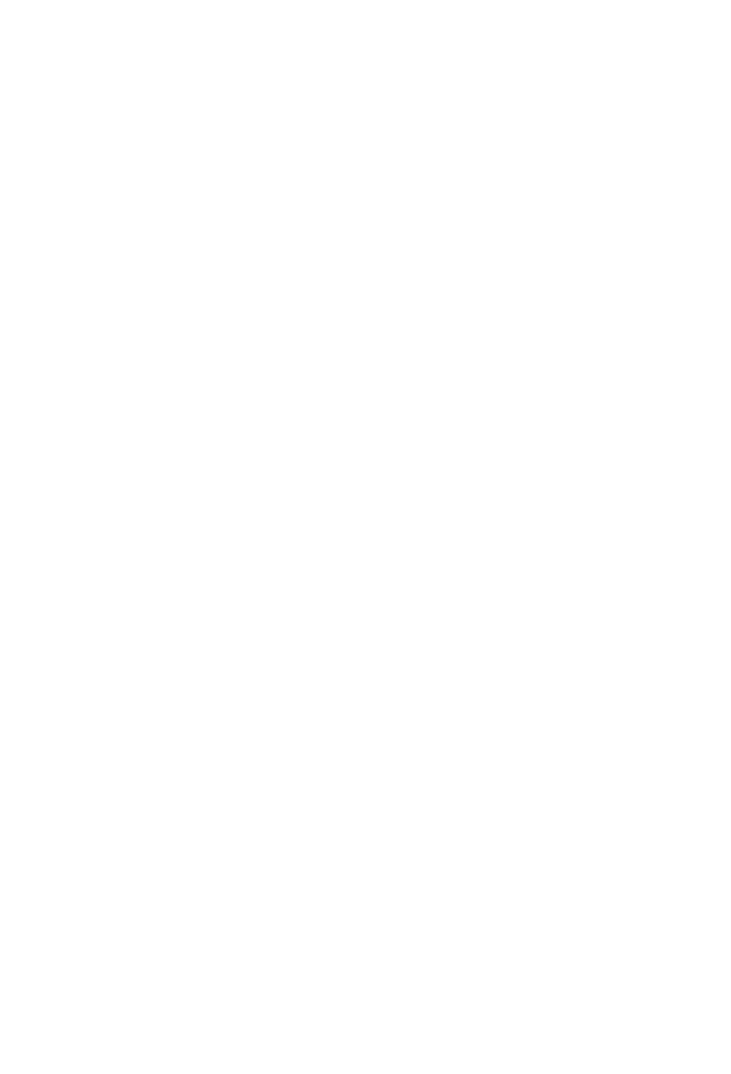lows the volume of the sensed ambient audio signals in the area.

4. A system according to claim 3 in which said last named means includes:

subliminal message source means for providing an 5 auditory subliminal message output signal: and

volume control circuit means having an input coupled to the output of said audio sensor means and an input coupled to the output of said subliminal means comprising means for adjusting the volume of the received subliminal message output signal in response to the received ambient audio output signal so as to produce a modified subliminal message output signal which comprises the volume adjusted 15 signal generator. received subliminal message output signal.

5. A system according to claim 3 in which said last named means comprises means for producing a subliminal message output signal at a volume which increases in response to increases in the volume of sensed ambient <sup>20</sup> audio signals at a rate slower than the rate of increase of the sensed ambient audio signals.

6. A system according to claim 5 in which said last named means comprises means for producing a subliminal message output signal at a volume which decreases in response to decreases in the volume of sensed ambient audio signals at a rate which is faster than the rate the subliminal message output signal increases in response to increases in the volume of sensed ambient 30 audio signals.

7. An auditory subliminal message system for an area comprising:

- at least one audio sensor means for sensing ambient audio signals in the area and for producing an ambient audio output signal representing the amplitude of the sensed ambient audio signals;
- subliminal message source means for providing an auditory subliminal message output signal:
- control circuit means coupled to the output of said 40 audio sensor means and to said subliminal message source means for adjusting the amplitude of the subliminal message output signal so as to follow the amplitude of the sensed ambient audio signals; and
- masking signal source means for providing and com- 45 bining a masking signal having frequency characteristics and an amplitude such that when the masking signal is combined with the amplitude adjusted subliminal message output signal it renders the adjusted subliminal message output signal outside 50 of the conscious recognition range.

8. A system according to claim 7 in which said subliminal message source means comprises means for producing a repetitive auditory subliminal message output signal.

9. A system according to claim 7 in which said subliminal message source means and said masking signal source means comprise means for providing a composite signal which includes the auditory subliminal message output signal as one component and which in- 60 cludes the masking signal as another component;

said control circuit means comprising means for adjusting the amplitude of the composite signal so as to follow the amplitude of the sensed ambient audio signals. 65

10. A system according to claim 9 including system testing means for selectively adjusting the amplitude of the composite signal to bring the masking signal into the conscious recognition range and thereby indicate the system is operating.

11. A system according to claim 7 in which said masking signal source means provides a masking signal having an amplitude which is in the range of approximately 3 db to 15 db greater than the amplitude of the amplitude adjusted subliminal message output signal.

12. A system according to claim 11 in which said masking signal source means provides a masking signal message source means, said volume control circuit 10 having an amplitude which is approximately 5 db greater than the amplitude of the amplitude adjusted subliminal message output signal.

13. A system according to claim 7 in which said masking signal source means comprises a white noise

14. A system according to claim 9 in which said means for providing a composite signal comprises an audio recording playback means for playing back a recording of the composite signal.

15. A system according to claim 9 in which said means for providing a composite signal includes voice synthesizer means for providing the auditory subliminal signal component.

16. A system according to claim 15 in which said 25 means for providing a composite signal includes white noise signal generator means for providing the masking signal component and mixer circuit means for combining the output of said voice synthesizer means and the output of said white noise signal generator means to provide an output from said mixer circuit means which comprises the composite signal.

17. A system according to claim 9 including output circuit means having at least one audio speaker means for transmitting the amplitude adjusted composite sig-35 nal to the area.

18. A system according to claim 7 in which said control circuit means is also coupled to said masking signal source means and comprises means for adjusting the amplitude of the masking signal so as to follow the amplitude of the sensed ambient audio signals.

19. An auditory subliminal message system for an area comprising:

- at least one audio sensor means for sensing ambient audio signals in the area and for producing an ambient audio output signal representing the amplitude of the sensed ambient audio signals;
- subliminal message source means for providing an auditory subliminal message output signal;
- masking signal source means for providing and combining a masking signal having frequency characteristics and an amplitude such that when the masking signal is combined with the amplitude adjusted subliminal message output signal it renders the adjusted subliminal message output signal outside of the conscious recognition range;
- ambient audio signal processing circuit means coupled to the output of said audio sensor means for producing a control signal which varies with variations in the amplitude of the sensed ambient audio signals:
- amplitude control circuit means coupled to said subliminal message source means, to said masking signal source means and to said ambient audio signal processing circuit means for controlling the amplitude of said auditory subliminal message and the amplitude of said masking signal in response to the control signal from said ambient audio signal processing circuit means such that the amplitudes

55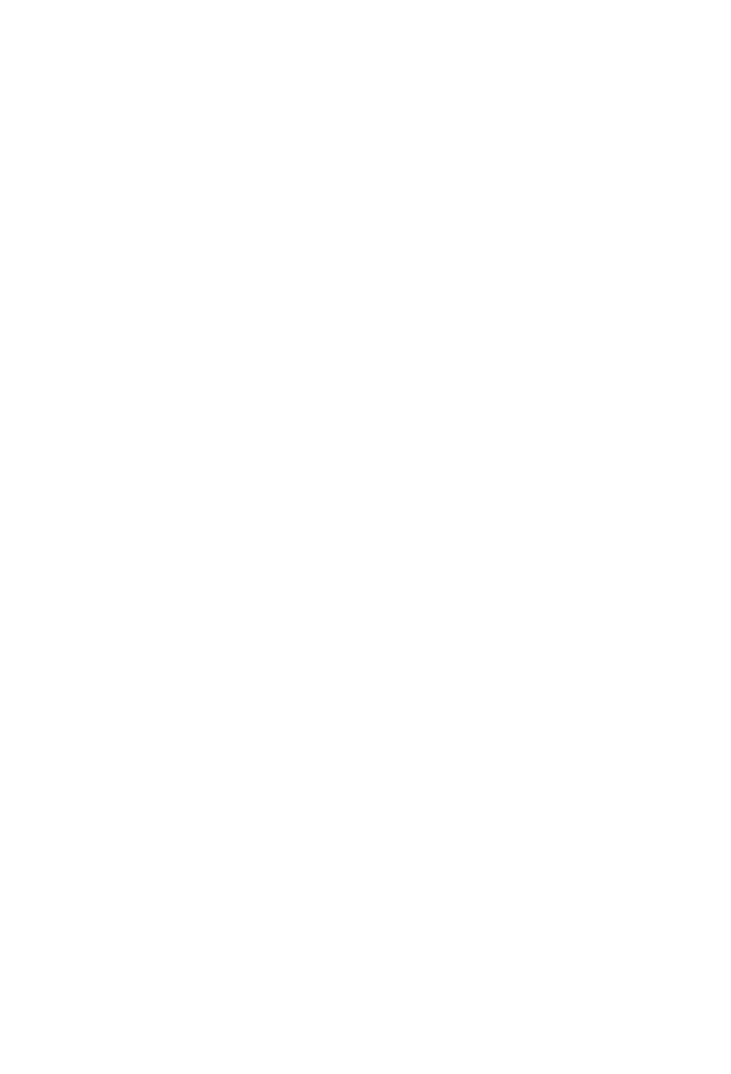$\overline{\mathbf{5}}$ 

of said auditory subliminal signal and of said masking signal increase with increasing amplitudes of the sensed ambient audio signals and decrease with decreasing amplitudes of the sensed ambient audio signals; and

output circuit means including speaker means for transmitting the amplitude controlled auditory subliminal message output signal and the amplitude controlled masking signal to the area.

20. A system according to claim 19 in which said 10 ambient audio signal processing circuit means includes an audio channel circuit means associated with each said sensor means.

21. A system according to claim 20 including plural audio sensor means and plural audio channel means, 15 each said audio channel means including rectifier circuit means having an input coupled to the output of its associated audio sensor means for receiving and producing a rectified output signal representing the amplitude of the ambient audio signals sensed by the associated audio 20 sensor means, each said audio channel means also including signal shaping circuit means having an input coupled to the output of said rectifier means for producing a shaped output signal which increases at a first rate in response to increases in the rectified output signal 25 which corresponds to increases in the amplitude of the ambient audio signals sensed by the associated audio sensor means, the shaped output signal decreasing at a second rate which is faster than the first rate in response to decreases in the rectified output signal which corre- 30 sponds to decreases in the amplitude of the ambient audio signals sensed by the associated audio sensor means; and

said system also including averaging circuit means having an input coupled to the outputs of said sig- 35 nal shaping circuit means for receiving and averaging the shaped output signals to produce a control signal comprising the average of the received shaped output signals.

22. A system according to claim 20 including plural 40 audio sensor means and plural audio channel means, each said audio channel means including rectifier circuit means having an input coupled to the output of its associated audio sensor means for receiving and producing a rectified output signal representing the amplitude of 45 the ambient audio signals sensed by the associated audio sensor means;

- said system also including averaging circuit means having an input coupled to the outputs of said rectifier circuit means for receiving and averaging the 50 rectified output signals to produce an averaging circuit output signal comprising the average of the received rectified output signals; and
- signal shaping circuit means having an input coupled to the output of said averaging circuit means for 55 producing a shaped output signal which increases at a first rate in response to increases in the averaging circuit output signal which corresponds to

increases in the amplitude of the sensed ambient audio signals, the shaped output signal decreasing at a second rate which is faster than the first rate in response to decreases in the averaging circuit output signal which correspond to decreases in the amplitude of the sensed ambient audio signals.

23. A system according to claim 21 or 22 in which the first rate is slower than the rate of increase of the sensed ambient audio signals.

24. A system according to claim 19 in which said output circuit means includes means for combining background audio signals, such as music, with the amplitude controlled auditory subliminal signal prior to transmitting this latter signal to the area.

25. A system according to claim 21 in which the control signal comprises a control voltage and in which said amplitude control circuit means comprises a voltage controlled amplifier circuit.

26. A method of reducing shoplifting in a customer area of a store comprising:

sensing ambient audio signals from the area;

- providing an auditory anti-shoplifting subliminal message signal:
- adjusting the amplitude of the subliminal message signal to follow the amplitude of the sensed audio signals: and
- transmitting the amplitude adjusted subliminal message signal to the area.

27. A method according to claim 26 in which the step of adjusting the amplitude comprises the steps of increasing the amplitude at a first rate with increasing amplitudes of the sensed audio signals and decreasing the amplitude at a second rate faster than the first rate with decreasing amplitudes of the sensed audio signals.

28. A method according to claim 26 or 27 including the steps of providing a masking signal having amplitude and frequency characteristics which when combined with the auditory subliminal message signal renders the subliminal message signal below the level of conscious recognition;

adjusting the amplitude of the masking signal to follow the amplitude of the sensed audio signals; and transmitting the amplitude adjusted masking signal to the area.

29. A method according to claim 28 in which the step of providing a subliminal message signal comprises the step of providing a composite signal having the auditory subliminal message signal as one component and the masking signal as another component;

- the step of adjusting the amplitude comprises the step of adjusting the amplitude of the composite signal to follow the amplitude of the sensed audio signals; and
- the step of transmitting comprises the step of transmitting the amplitude adjusted composite signal to the area.

65

60